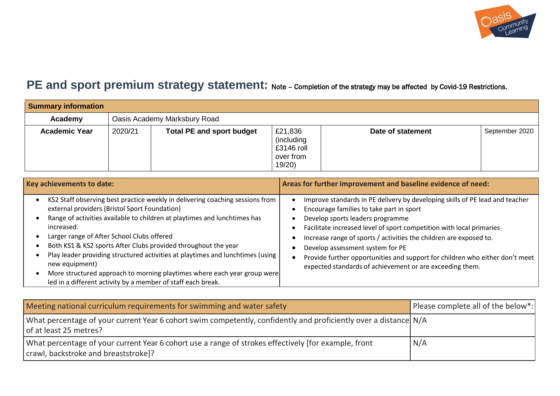

## **PE and sport premium strategy statement:** Note – Completion of the strategy may be affected by Covid-19 Restrictions.

| <b>Summary information</b> |         |                                  |                                                              |                   |                |
|----------------------------|---------|----------------------------------|--------------------------------------------------------------|-------------------|----------------|
| Academy                    |         | Oasis Academy Marksbury Road     |                                                              |                   |                |
| <b>Academic Year</b>       | 2020/21 | <b>Total PE and sport budget</b> | £21,836<br>(including)<br>$£3146$ roll<br>over from<br>19/20 | Date of statement | September 2020 |

| Key achievements to date:                                                                                                                                                                                                                                                                                                                                                                                                                                                                                                                                                                 | Areas for further improvement and baseline evidence of need:                                                                                                                                                                                                                                                                                                                                                                                                                               |  |  |
|-------------------------------------------------------------------------------------------------------------------------------------------------------------------------------------------------------------------------------------------------------------------------------------------------------------------------------------------------------------------------------------------------------------------------------------------------------------------------------------------------------------------------------------------------------------------------------------------|--------------------------------------------------------------------------------------------------------------------------------------------------------------------------------------------------------------------------------------------------------------------------------------------------------------------------------------------------------------------------------------------------------------------------------------------------------------------------------------------|--|--|
| KS2 Staff observing best practice weekly in delivering coaching sessions from<br>external providers (Bristol Sport Foundation)<br>Range of activities available to children at playtimes and lunchtimes has<br>increased.<br>Larger range of After School Clubs offered<br>Both KS1 & KS2 sports After Clubs provided throughout the year<br>Play leader providing structured activities at playtimes and lunchtimes (using<br>new equipment)<br>More structured approach to morning playtimes where each year group were<br>led in a different activity by a member of staff each break. | Improve standards in PE delivery by developing skills of PE lead and teacher<br>Encourage families to take part in sport<br>Develop sports leaders programme<br>Facilitate increased level of sport competition with local primaries<br>Increase range of sports / activities the children are exposed to.<br>Develop assessment system for PE<br>Provide further opportunities and support for children who either don't meet<br>expected standards of achievement or are exceeding them. |  |  |

| Meeting national curriculum requirements for swimming and water safety                                                                       | Please complete all of the below*: |
|----------------------------------------------------------------------------------------------------------------------------------------------|------------------------------------|
| What percentage of your current Year 6 cohort swim competently, confidently and proficiently over a distance N/A<br>of at least 25 metres?   |                                    |
| What percentage of your current Year 6 cohort use a range of strokes effectively [for example, front<br>crawl, backstroke and breaststroke]? | N/A                                |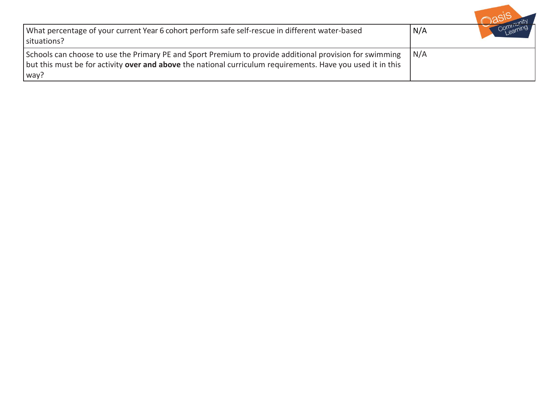| What percentage of your current Year 6 cohort perform safe self-rescue in different water-based<br>situations?                                                                                                                        | N/A | Continued |
|---------------------------------------------------------------------------------------------------------------------------------------------------------------------------------------------------------------------------------------|-----|-----------|
| Schools can choose to use the Primary PE and Sport Premium to provide additional provision for swimming<br>but this must be for activity <b>over and above</b> the national curriculum requirements. Have you used it in this<br>way? | N/A |           |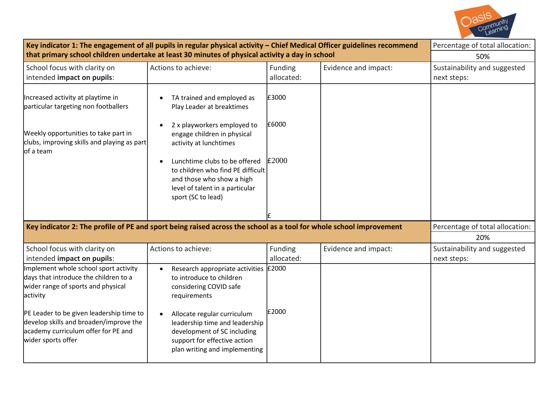

| Key indicator 1: The engagement of all pupils in regular physical activity - Chief Medical Officer guidelines recommend                                                                                                                                                             | Percentage of total allocation:                                                                                                                                                                                                                                                                             |                         |                      |                                             |
|-------------------------------------------------------------------------------------------------------------------------------------------------------------------------------------------------------------------------------------------------------------------------------------|-------------------------------------------------------------------------------------------------------------------------------------------------------------------------------------------------------------------------------------------------------------------------------------------------------------|-------------------------|----------------------|---------------------------------------------|
| that primary school children undertake at least 30 minutes of physical activity a day in school                                                                                                                                                                                     | 50%                                                                                                                                                                                                                                                                                                         |                         |                      |                                             |
| School focus with clarity on<br>intended impact on pupils:                                                                                                                                                                                                                          | Actions to achieve:                                                                                                                                                                                                                                                                                         | Funding<br>allocated:   | Evidence and impact: | Sustainability and suggested<br>next steps: |
| Increased activity at playtime in<br>particular targeting non footballers<br>Weekly opportunities to take part in<br>clubs, improving skills and playing as part<br>lof a team                                                                                                      | TA trained and employed as<br>Play Leader at breaktimes<br>2 x playworkers employed to<br>engage children in physical<br>activity at lunchtimes<br>Lunchtime clubs to be offered<br>to children who find PE difficult<br>and those who show a high<br>level of talent in a particular<br>sport (SC to lead) | £3000<br>£6000<br>£2000 |                      |                                             |
| Key indicator 2: The profile of PE and sport being raised across the school as a tool for whole school improvement                                                                                                                                                                  |                                                                                                                                                                                                                                                                                                             |                         |                      | Percentage of total allocation:<br>20%      |
| School focus with clarity on<br>intended impact on pupils:                                                                                                                                                                                                                          | Actions to achieve:                                                                                                                                                                                                                                                                                         | Funding<br>allocated:   | Evidence and impact: | Sustainability and suggested<br>next steps: |
| Implement whole school sport activity<br>days that introduce the children to a<br>wider range of sports and physical<br>activity<br>PE Leader to be given leadership time to<br>develop skills and broaden/improve the<br>academy curriculum offer for PE and<br>wider sports offer | Research appropriate activities $\text{\pounds}2000$<br>to introduce to children<br>considering COVID safe<br>requirements<br>Allocate regular curriculum<br>leadership time and leadership<br>development of SC including<br>support for effective action<br>plan writing and implementing                 | £2000                   |                      |                                             |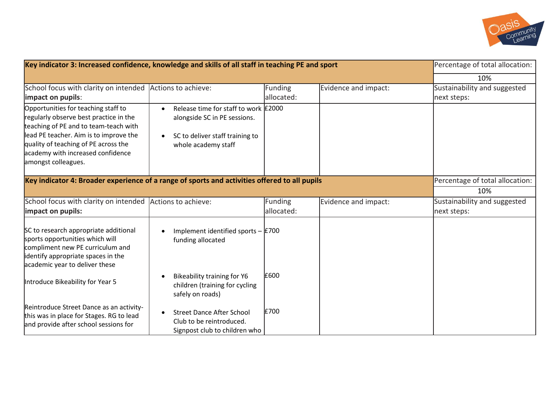

| Key indicator 3: Increased confidence, knowledge and skills of all staff in teaching PE and sport                                                                                                                                                                    | Percentage of total allocation:                                                                                                |                              |                      |                                             |
|----------------------------------------------------------------------------------------------------------------------------------------------------------------------------------------------------------------------------------------------------------------------|--------------------------------------------------------------------------------------------------------------------------------|------------------------------|----------------------|---------------------------------------------|
|                                                                                                                                                                                                                                                                      |                                                                                                                                |                              |                      | 10%                                         |
| School focus with clarity on intended<br>impact on pupils:                                                                                                                                                                                                           | Actions to achieve:                                                                                                            | Funding<br>allocated:        | Evidence and impact: | Sustainability and suggested<br>next steps: |
| Opportunities for teaching staff to<br>regularly observe best practice in the<br>teaching of PE and to team-teach with<br>lead PE teacher. Aim is to improve the<br>quality of teaching of PE across the<br>academy with increased confidence<br>amongst colleagues. | Release time for staff to work £2000<br>alongside SC in PE sessions.<br>SC to deliver staff training to<br>whole academy staff |                              |                      |                                             |
| Key indicator 4: Broader experience of a range of sports and activities offered to all pupils                                                                                                                                                                        | Percentage of total allocation:                                                                                                |                              |                      |                                             |
|                                                                                                                                                                                                                                                                      |                                                                                                                                |                              |                      | 10%                                         |
| School focus with clarity on intended<br>impact on pupils:                                                                                                                                                                                                           | Actions to achieve:                                                                                                            | <b>Funding</b><br>allocated: | Evidence and impact: | Sustainability and suggested<br>next steps: |
| SC to research appropriate additional<br>sports opportunities which will<br>compliment new PE curriculum and<br>identify appropriate spaces in the<br>academic year to deliver these                                                                                 | Implement identified sports $-$ £700<br>funding allocated                                                                      |                              |                      |                                             |
| Introduce Bikeability for Year 5                                                                                                                                                                                                                                     | Bikeability training for Y6<br>children (training for cycling<br>safely on roads)                                              | £600                         |                      |                                             |
| Reintroduce Street Dance as an activity-<br>this was in place for Stages. RG to lead<br>and provide after school sessions for                                                                                                                                        | <b>Street Dance After School</b><br>Club to be reintroduced.<br>Signpost club to children who                                  | £700                         |                      |                                             |